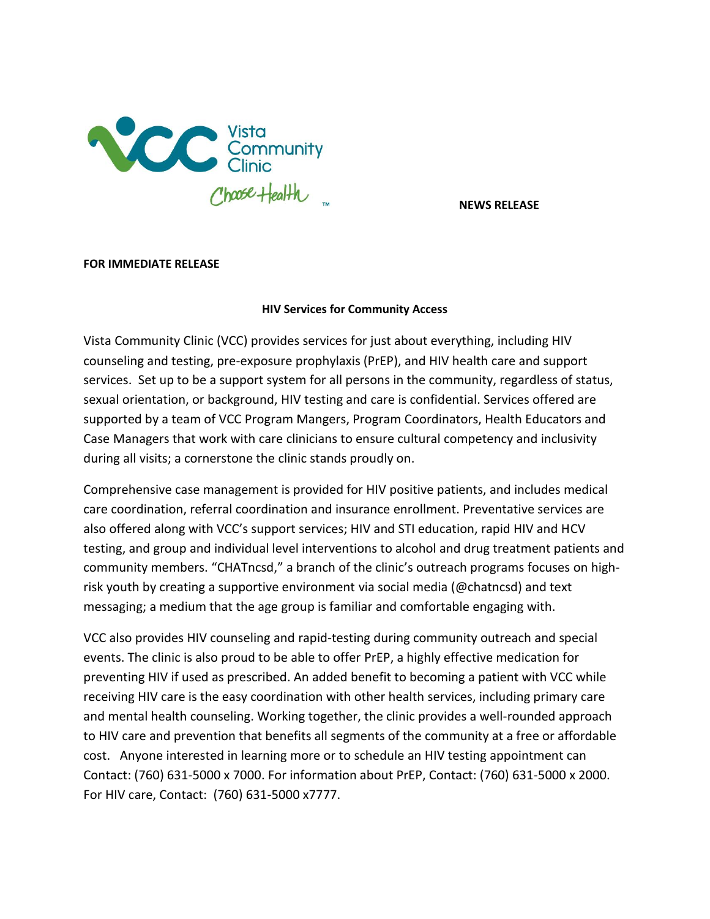

**NEWS RELEASE**

## **FOR IMMEDIATE RELEASE**

## **HIV Services for Community Access**

Vista Community Clinic (VCC) provides services for just about everything, including HIV counseling and testing, pre-exposure prophylaxis (PrEP), and HIV health care and support services. Set up to be a support system for all persons in the community, regardless of status, sexual orientation, or background, HIV testing and care is confidential. Services offered are supported by a team of VCC Program Mangers, Program Coordinators, Health Educators and Case Managers that work with care clinicians to ensure cultural competency and inclusivity during all visits; a cornerstone the clinic stands proudly on.

Comprehensive case management is provided for HIV positive patients, and includes medical care coordination, referral coordination and insurance enrollment. Preventative services are also offered along with VCC's support services; HIV and STI education, rapid HIV and HCV testing, and group and individual level interventions to alcohol and drug treatment patients and community members. "CHATncsd," a branch of the clinic's outreach programs focuses on highrisk youth by creating a supportive environment via social media (@chatncsd) and text messaging; a medium that the age group is familiar and comfortable engaging with.

VCC also provides HIV counseling and rapid-testing during community outreach and special events. The clinic is also proud to be able to offer PrEP, a highly effective medication for preventing HIV if used as prescribed. An added benefit to becoming a patient with VCC while receiving HIV care is the easy coordination with other health services, including primary care and mental health counseling. Working together, the clinic provides a well-rounded approach to HIV care and prevention that benefits all segments of the community at a free or affordable cost. Anyone interested in learning more or to schedule an HIV testing appointment can Contact: (760) 631-5000 x 7000. For information about PrEP, Contact: (760) 631-5000 x 2000. For HIV care, Contact: (760) 631-5000 x7777.